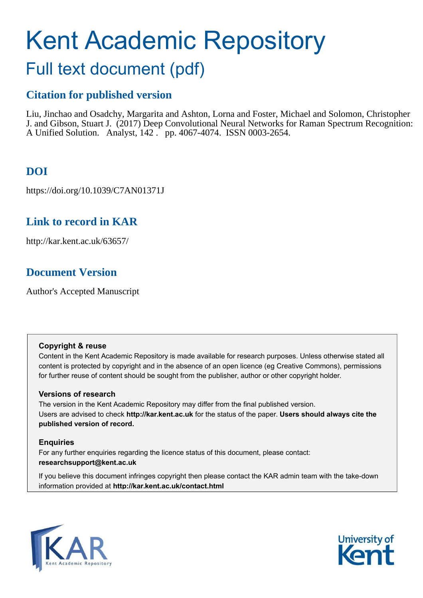# Kent Academic Repository

## Full text document (pdf)

## **Citation for published version**

Liu, Jinchao and Osadchy, Margarita and Ashton, Lorna and Foster, Michael and Solomon, Christopher J. and Gibson, Stuart J. (2017) Deep Convolutional Neural Networks for Raman Spectrum Recognition: A Unified Solution. Analyst, 142 . pp. 4067-4074. ISSN 0003-2654.

## **DOI**

https://doi.org/10.1039/C7AN01371J

## **Link to record in KAR**

http://kar.kent.ac.uk/63657/

## **Document Version**

Author's Accepted Manuscript

#### **Copyright & reuse**

Content in the Kent Academic Repository is made available for research purposes. Unless otherwise stated all content is protected by copyright and in the absence of an open licence (eg Creative Commons), permissions for further reuse of content should be sought from the publisher, author or other copyright holder.

#### **Versions of research**

The version in the Kent Academic Repository may differ from the final published version. Users are advised to check **http://kar.kent.ac.uk** for the status of the paper. **Users should always cite the published version of record.**

#### **Enquiries**

For any further enquiries regarding the licence status of this document, please contact: **researchsupport@kent.ac.uk**

If you believe this document infringes copyright then please contact the KAR admin team with the take-down information provided at **http://kar.kent.ac.uk/contact.html**



<span id="page-0-0"></span>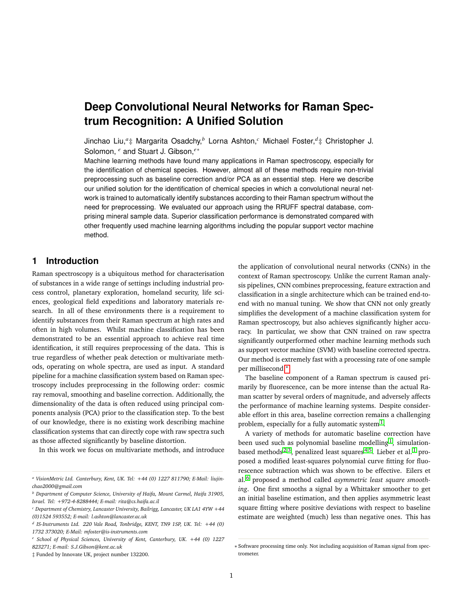### <span id="page-1-0"></span>**Deep Convolutional Neural Networks for Raman Spectrum Recognition: A Unified Solution**

Jinchao Liu,*a*‡ Margarita Osadchy,*<sup>b</sup>* Lorna Ashton,*<sup>c</sup>* Michael Foster,*d*‡ Christopher J. Solomon, *<sup>e</sup>* and Stuart J. Gibson,*e*<sup>∗</sup>

Machine learning methods have found many applications in Raman spectroscopy, especially for the identification of chemical species. However, almost all of these methods require non-trivial preprocessing such as baseline correction and/or PCA as an essential step. Here we describe our unified solution for the identification of chemical species in which a convolutional neural network is trained to automatically identify substances according to their Raman spectrum without the need for preprocessing. We evaluated our approach using the RRUFF spectral database, comprising mineral sample data. Superior classification performance is demonstrated compared with other frequently used machine learning algorithms including the popular support vector machine method.

#### **1 Introduction**

Raman spectroscopy is a ubiquitous method for characterisation of substances in a wide range of settings including industrial process control, planetary exploration, homeland security, life sciences, geological field expeditions and laboratory materials research. In all of these environments there is a requirement to identify substances from their Raman spectrum at high rates and often in high volumes. Whilst machine classification has been demonstrated to be an essential approach to achieve real time identification, it still requires preprocessing of the data. This is true regardless of whether peak detection or multivariate methods, operating on whole spectra, are used as input. A standard pipeline for a machine classification system based on Raman spectroscopy includes preprocessing in the following order: cosmic ray removal, smoothing and baseline correction. Additionally, the dimensionality of the data is often reduced using principal components analysis (PCA) prior to the classification step. To the best of our knowledge, there is no existing work describing machine classification systems that can directly cope with raw spectra such as those affected significantly by baseline distortion.

In this work we focus on multivariate methods, and introduce

the application of convolutional neural networks (CNNs) in the context of Raman spectroscopy. Unlike the current Raman analysis pipelines, CNN combines preprocessing, feature extraction and classification in a single architecture which can be trained end-toend with no manual tuning. We show that CNN not only greatly simplifies the development of a machine classification system for Raman spectroscopy, but also achieves significantly higher accuracy. In particular, we show that CNN trained on raw spectra significantly outperformed other machine learning methods such as support vector machine (SVM) with baseline corrected spectra. Our method is extremely fast with a processing rate of one sample per millisecond [∗](#page-0-0) .

The baseline component of a Raman spectrum is caused primarily by fluorescence, can be more intense than the actual Raman scatter by several orders of magnitude, and adversely affects the performance of machine learning systems. Despite considerable effort in this area, baseline correction remains a challenging problem, especially for a fully automatic system $^1$  $^1$ .

A variety of methods for automatic baseline correction have been used such as polynomial baseline modelling  $^1$  $^1$ , simulation-based methods<sup>[2,](#page-6-1)[3](#page-6-2)</sup>, penalized least squares<sup>[4,](#page-6-3)[5](#page-6-4)</sup>. Lieber et al.<sup>[1](#page-6-0)</sup> proposed a modified least-squares polynomial curve fitting for fluorescence subtraction which was shown to be effective. Eilers et al. [6](#page-6-5) proposed a method called *asymmetric least square smoothing*. One first smooths a signal by a Whittaker smoother to get an initial baseline estimation, and then applies asymmetric least square fitting where positive deviations with respect to baseline estimate are weighted (much) less than negative ones. This has

*<sup>a</sup> VisionMetric Ltd. Canterbury, Kent, UK. Tel: +44 (0) 1227 811790; E-Mail: liujinchao2000@gmail.com*

*<sup>b</sup> Department of Computer Science, University of Haifa, Mount Carmel, Haifa 31905, Israel. Tel: +972-4-8288444; E-mail: rita@cs.haifa.ac.il*

*<sup>c</sup> Department of Chemistry, Lancaster University, Bailrigg, Lancaster, UK LA1 4YW +44 (0)1524 593552; E-mail: l.ashton@lancaster.ac.uk*

*d IS-Instruments Ltd. 220 Vale Road, Tonbridge, KENT, TN9 1SP, UK. Tel: +44 (0) 1732 373020; E-Mail: mfoster@is-instruments.com*

*<sup>e</sup> School of Physical Sciences, University of Kent, Canterbury, UK. +44 (0) 1227 823271; E-mail: S.J.Gibson@kent.ac.uk*

<sup>‡</sup> Funded by Innovate UK, project number 132200.

<sup>∗</sup> Software processing time only. Not including acquisition of Raman signal from spectrometer.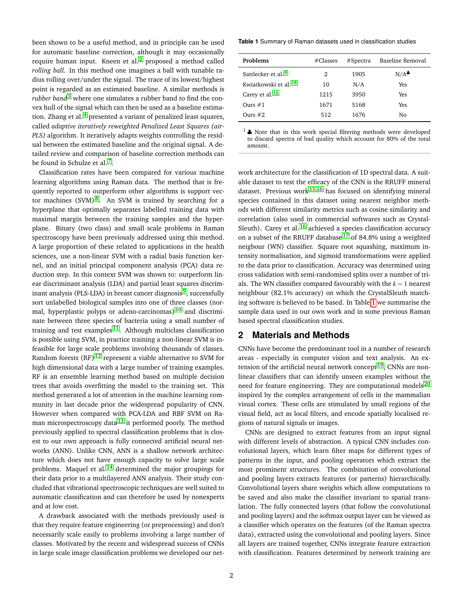<span id="page-2-0"></span>been shown to be a useful method, and in principle can be used for automatic baseline correction, although it may occasionally require human input. Kneen et al.<sup>[2](#page-6-1)</sup> proposed a method called *rolling ball*. In this method one imagines a ball with tunable radius rolling over/under the signal. The trace of its lowest/highest point is regarded as an estimated baseline. A similar methods is *rubber band*<sup>[3](#page-6-2)</sup> where one simulates a rubber band to find the convex hull of the signal which can then be used as a baseline estimation. Zhang et al. [4](#page-6-3) presented a variant of penalized least squares, called *adaptive iteratively reweighted Penalized Least Squares (air-PLS)* algorithm. It iteratively adapts weights controlling the residual between the estimated baseline and the original signal. A detailed review and comparison of baseline correction methods can be found in Schulze et al.<sup>[7](#page-6-6)</sup>.

Classification rates have been compared for various machine learning algorithms using Raman data. The method that is frequently reported to outperform other algorithms is support vec-tor machines (SVM)<sup>[8](#page-6-7)</sup>. An SVM is trained by searching for a hyperplane that optimally separates labelled training data with maximal margin between the training samples and the hyperplane. Binary (two class) and small scale problems in Raman spectroscopy have been previously addressed using this method. A large proportion of these related to applications in the health sciences, use a non-linear SVM with a radial basis function kernel, and an initial principal component analysis (PCA) data reduction step. In this context SVM was shown to: outperform linear discriminant analysis (LDA) and partial least squares discrim-inant analysis (PLS-LDA) in breast cancer diagnosis <sup>[9](#page-6-8)</sup>, successfully sort unlabelled biological samples into one of three classes (normal, hyperplastic polyps or adeno-carcinomas) $10$  and discriminate between three species of bacteria using a small number of training and test examples  $11$ . Although multiclass classification is possible using SVM, in practice training a non-linear SVM is infeasible for large scale problems involving thousands of classes. Random forests  $(RF)^{12}$  $(RF)^{12}$  $(RF)^{12}$  represent a viable alternative to SVM for high dimensional data with a large number of training examples. RF is an ensemble learning method based on multiple decision trees that avoids overfitting the model to the training set. This method generated a lot of attention in the machine learning community in last decade prior the widespread popularity of CNN. However when compared with PCA-LDA and RBF SVM on Raman microspectroscopy data  $13$  it performed poorly. The method previously applied to spectral classification problems that is closest to our own approach is fully connected artificial neural networks (ANN). Unlike CNN, ANN is a shallow network architecture which does not have enough capacity to solve large scale problems. Maquel et al. [14](#page-6-13) determined the major groupings for their data prior to a multilayered ANN analysis. Their study concluded that vibrational spectroscopic techniques are well suited to automatic classification and can therefore be used by nonexperts and at low cost.

A drawback associated with the methods previously used is that they require feature engineering (or preprocessing) and don't necessarily scale easily to problems involving a large number of classes. Motivated by the recent and widespread success of CNNs in large scale image classification problems we developed our net-

**Table 1** Summary of Raman datasets used in classification studies

| Problems                         | #Classes | #Spectra | Baseline Removal |
|----------------------------------|----------|----------|------------------|
| Sattlecker et al. <sup>9</sup>   | 2        | 1905     | $N/A^*$          |
| Kwiatkowski et al. <sup>18</sup> | 10       | N/A      | Yes              |
| Carey et al. <sup>16</sup>       | 1215     | 3950     | Yes              |
| Ours $#1$                        | 1671     | 5168     | Yes              |
| Ours $#2$                        | 512      | 1676     | No               |

 $1$   $\clubsuit$  Note that in this work special filtering methods were developed to discard spectra of bad quality which account for 80% of the total amount.

work architecture for the classification of 1D spectral data. A suitable dataset to test the efficacy of the CNN is the RRUFF mineral dataset. Previous work<sup>[15,](#page-6-16)[16](#page-6-15)</sup> has focused on identifying mineral species contained in this dataset using nearest neighbor methods with different similarity metrics such as cosine similarity and correlation (also used in commercial softwares such as Crystal-Sleuth). Carey et al.<sup>[16](#page-6-15)</sup> achieved a species classification accuracy on a subset of the RRUFF database  $17$  of 84.8% using a weighted neigbour (WN) classifier. Square root squashing, maximum intensity normalisation, and sigmoid transformations were applied to the data prior to classification. Accuracy was determined using cross validation with semi-randomised splits over a number of trials. The WN classifier compared favourably with the  $k = 1$  nearest neighbour (82.1% accuracy) on which the CrystalSleuth matching software is believed to be based. In Table [1](#page-1-0) we summarise the sample data used in our own work and in some previous Raman based spectral classification studies.

#### **2 Materials and Methods**

CNNs have become the predominant tool in a number of research areas - especially in computer vision and text analysis. An ex-tension of the artificial neural network concept<sup>[19](#page-6-18)</sup>, CNNs are nonlinear classifiers that can identify unseen examples without the need for feature engineering. They are computational models<sup>[20](#page-6-19)</sup> inspired by the complex arrangement of cells in the mammalian visual cortex. These cells are stimulated by small regions of the visual field, act as local filters, and encode spatially localised regions of natural signals or images.

CNNs are designed to extract features from an input signal with different levels of abstraction. A typical CNN includes convolutional layers, which learn filter maps for different types of patterns in the input, and pooling operators which extract the most prominent structures. The combination of convolutional and pooling layers extracts features (or patterns) hierarchically. Convolutional layers share weights which allow computations to be saved and also make the classifier invariant to spatial translation. The fully connected layers (that follow the convolutional and pooling layers) and the softmax output layer can be viewed as a classifier which operates on the features (of the Raman spectra data), extracted using the convolutional and pooling layers. Since all layers are trained together, CNNs integrate feature extraction with classification. Features determined by network training are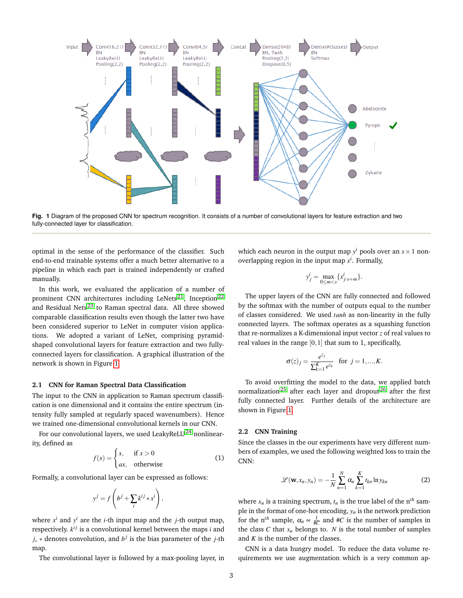

<span id="page-3-1"></span>**Fig. 1** Diagram of the proposed CNN for spectrum recognition. It consists of a number of convolutional layers for feature extraction and two fully-connected layer for classification.

optimal in the sense of the performance of the classifier. Such end-to-end trainable systems offer a much better alternative to a pipeline in which each part is trained independently or crafted manually.

In this work, we evaluated the application of a number of prominent CNN architectures including LeNets<sup>[21](#page-6-20)</sup>, Inception<sup>[22](#page-6-21)</sup> and Residual Nets<sup>[23](#page-6-22)</sup> to Raman spectral data. All three showed comparable classification results even though the latter two have been considered superior to LeNet in computer vision applications. We adopted a variant of LeNet, comprising pyramidshaped convolutional layers for feature extraction and two fullyconnected layers for classification. A graphical illustration of the network is shown in Figure [1.](#page-2-0)

#### **2.1 CNN for Raman Spectral Data Classification**

<span id="page-3-2"></span>The input to the CNN in application to Raman spectrum classification is one dimensional and it contains the entire spectrum (intensity fully sampled at regularly spaced wavenumbers). Hence we trained one-dimensional convolutional kernels in our CNN.

For our convolutional layers, we used LeakyReLU $^{24}$  $^{24}$  $^{24}$  nonlinearity, defined as

$$
f(x) = \begin{cases} x, & \text{if } x > 0 \\ ax, & \text{otherwise} \end{cases}
$$
 (1)

,

Formally, a convolutional layer can be expressed as follows:

$$
y^{j} = f\left(b^{j} + \sum_{i} k^{ij} * x^{i}\right)
$$

where  $x^i$  and  $y^i$  are the *i*-th input map and the *j*-th output map, respectively.  $k^{ij}$  is a convolutional kernel between the maps *i* and *j*, ∗ denotes convolution, and *b j* is the bias parameter of the *j*-th map.

The convolutional layer is followed by a max-pooling layer, in

<span id="page-3-0"></span>which each neuron in the output map  $y^i$  pools over an  $s \times 1$  nonoverlapping region in the input map *x i* . Formally,

$$
y_j^i = \max_{0 \le m < s} \{ x_{j \cdot s + m}^i \}.
$$

The upper layers of the CNN are fully connected and followed by the softmax with the number of outputs equal to the number of classes considered. We used *tanh* as non-linearity in the fully connected layers. The softmax operates as a squashing function that re-normalizes a K-dimensional input vector *z* of real values to real values in the range  $[0,1]$  that sum to 1, specifically,

$$
\sigma(z_j) = \frac{e^{z_j}}{\sum_{k=1}^K e^{z_k}}
$$
 for  $j = 1, ..., K$ .

To avoid overfitting the model to the data, we applied batch normalization<sup>[25](#page-7-0)</sup> after each layer and dropout<sup>[26](#page-7-1)</sup> after the first fully connected layer. Further details of the architecture are shown in Figure [1.](#page-2-0)

#### **2.2 CNN Training**

Since the classes in the our experiments have very different numbers of examples, we used the following weighted loss to train the CNN:

$$
\mathscr{L}(\mathbf{w},x_n,y_n)=-\frac{1}{N}\sum_{n=1}^N\alpha_n\sum_{k=1}^Kt_{kn}\ln y_{kn}
$$
 (2)

where  $x_n$  is a training spectrum,  $t_n$  is the true label of the  $n^{th}$  sample in the format of one-hot encoding, *yn* is the network prediction for the  $n^{th}$  sample,  $\alpha_n \propto \frac{1}{\#C}$  and  $\#C$  is the number of samples in the class  $C$  that  $x_n$  belongs to.  $N$  is the total number of samples and *K* is the number of the classes.

CNN is a data hungry model. To reduce the data volume requirements we use augmentation which is a very common ap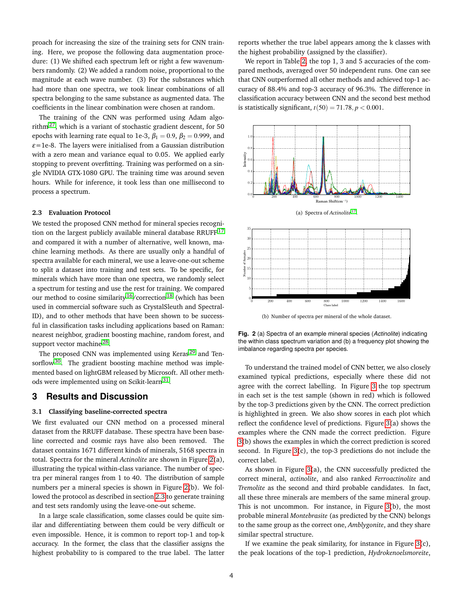<span id="page-4-0"></span>proach for increasing the size of the training sets for CNN training. Here, we propose the following data augmentation procedure: (1) We shifted each spectrum left or right a few wavenumbers randomly. (2) We added a random noise, proportional to the magnitude at each wave number. (3) For the substances which had more than one spectra, we took linear combinations of all spectra belonging to the same substance as augmented data. The coefficients in the linear combination were chosen at random.

The training of the CNN was performed using Adam algo-rithm<sup>[27](#page-7-2)</sup>, which is a variant of stochastic gradient descent, for 50 epochs with learning rate equal to 1e-3,  $\beta_1 = 0.9$ ,  $\beta_2 = 0.999$ , and  $\varepsilon$ =1e-8. The layers were initialised from a Gaussian distribution with a zero mean and variance equal to 0.05. We applied early stopping to prevent overfitting. Training was performed on a single NVIDIA GTX-1080 GPU. The training time was around seven hours. While for inference, it took less than one millisecond to process a spectrum.

#### <span id="page-4-1"></span>**2.3 Evaluation Protocol**

We tested the proposed CNN method for mineral species recogni-tion on the largest publicly available mineral database RRUFF<sup>[17](#page-6-17)</sup> and compared it with a number of alternative, well known, machine learning methods. As there are usually only a handful of spectra available for each mineral, we use a leave-one-out scheme to split a dataset into training and test sets. To be specific, for minerals which have more than one spectra, we randomly select a spectrum for testing and use the rest for training. We compared our method to cosine similarity  $16$ /correction<sup>[18](#page-6-14)</sup> (which has been used in commercial software such as CrystalSleuth and Spectral-ID), and to other methods that have been shown to be successful in classification tasks including applications based on Raman: nearest neighbor, gradient boosting machine, random forest, and support vector machine<sup>[28](#page-7-3)</sup>.

The proposed CNN was implemented using Keras<sup>[29](#page-7-4)</sup> and Ten-sorflow<sup>[30](#page-7-5)</sup>. The gradient boosting machine method was implemented based on lightGBM released by Microsoft. All other meth-ods were implemented using on Scikit-learn<sup>[31](#page-7-6)</sup>.

#### **3 Results and Discussion**

#### **3.1 Classifying baseline-corrected spectra**

We first evaluated our CNN method on a processed mineral dataset from the RRUFF database. These spectra have been baseline corrected and cosmic rays have also been removed. The dataset contains 1671 different kinds of minerals, 5168 spectra in total. Spectra for the mineral *Actinolite* are shown in Figure [2\(](#page-3-0)a), illustrating the typical within-class variance. The number of spectra per mineral ranges from 1 to 40. The distribution of sample numbers per a mineral species is shown in Figure [2\(](#page-3-0)b). We followed the protocol as described in section [2.3](#page-3-1) to generate training and test sets randomly using the leave-one-out scheme.

In a large scale classification, some classes could be quite similar and differentiating between them could be very difficult or even impossible. Hence, it is common to report top-1 and top-k accuracy. In the former, the class that the classifier assigns the highest probability to is compared to the true label. The latter reports whether the true label appears among the k classes with the highest probability (assigned by the classifier).

We report in Table [2,](#page-4-0) the top 1, 3 and 5 accuracies of the compared methods, averaged over 50 independent runs. One can see that CNN outperformed all other methods and achieved top-1 accuracy of 88.4% and top-3 accuracy of 96.3%. The difference in classification accuracy between CNN and the second best method is statistically significant,  $t(50) = 71.78$ ,  $p < 0.001$ .



**Fig. 2** (a) Spectra of an example mineral species (*Actinolite*) indicating the within class spectrum variation and (b) a frequency plot showing the imbalance regarding spectra per species.

To understand the trained model of CNN better, we also closely examined typical predictions, especially where these did not agree with the correct labelling. In Figure [3](#page-4-1) the top spectrum in each set is the test sample (shown in red) which is followed by the top-3 predictions given by the CNN. The correct prediction is highlighted in green. We also show scores in each plot which reflect the confidence level of predictions. Figure [3\(](#page-4-1)a) shows the examples where the CNN made the correct prediction. Figure [3\(](#page-4-1)b) shows the examples in which the correct prediction is scored second. In Figure [3\(](#page-4-1)c), the top-3 predictions do not include the correct label.

As shown in Figure [3\(](#page-4-1)a), the CNN successfully predicted the correct mineral, *actinolite*, and also ranked *Ferroactinolite* and *Tremolite* as the second and third probable candidates. In fact, all these three minerals are members of the same mineral group. This is not uncommon. For instance, in Figure [3\(](#page-4-1)b), the most probable mineral *Montebrasite* (as predicted by the CNN) belongs to the same group as the correct one, *Amblygonite*, and they share similar spectral structure.

If we examine the peak similarity, for instance in Figure [3\(](#page-4-1)c), the peak locations of the top-1 prediction, *Hydrokenoelsmoreite*,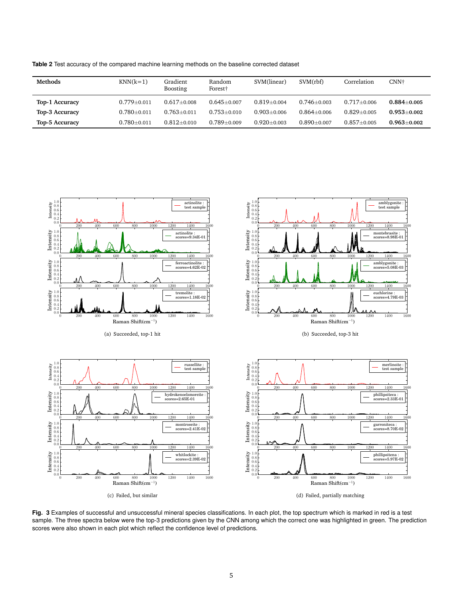<span id="page-5-1"></span>**Table 2** Test accuracy of the compared machine learning methods on the baseline corrected dataset

| <b>Methods</b> | $KNN(k=1)$        | Gradient<br><b>Boosting</b> | Random<br>Forest† | SVM(linear)       | SVM(rbf)        | Correlation     | CNN <sub>†</sub> |
|----------------|-------------------|-----------------------------|-------------------|-------------------|-----------------|-----------------|------------------|
| Top-1 Accuracy | $0.779 \pm 0.011$ | $0.617 + 0.008$             | $0.645 + 0.007$   | $0.819 + 0.004$   | $0.746 + 0.003$ | $0.717 + 0.006$ | $0.884 + 0.005$  |
| Top-3 Accuracy | $0.780 \pm 0.011$ | $0.763 + 0.011$             | $0.753 + 0.010$   | $0.903 + 0.006$   | $0.864 + 0.006$ | $0.829 + 0.005$ | $0.953 + 0.002$  |
| Top-5 Accuracy | $0.780 \pm 0.011$ | $0.812 + 0.010$             | $0.789{\pm0.009}$ | $0.920 \pm 0.003$ | $0.890 + 0.007$ | $0.857+0.005$   | $0.963 + 0.002$  |

<span id="page-5-0"></span>

**Fig. 3** Examples of successful and unsuccessful mineral species classifications. In each plot, the top spectrum which is marked in red is a test sample. The three spectra below were the top-3 predictions given by the CNN among which the correct one was highlighted in green. The prediction scores were also shown in each plot which reflect the confidence level of predictions.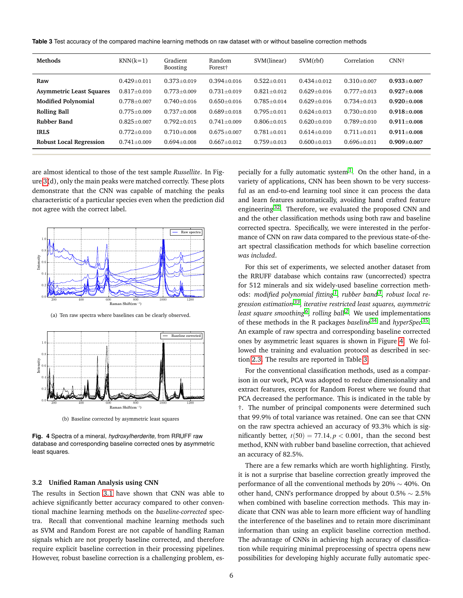**Table 3** Test accuracy of the compared machine learning methods on raw dataset with or without baseline correction methods

| Methods                         | $KNN(k=1)$        | Gradient<br><b>Boosting</b> | Random<br>Forest <sup>†</sup> | SVM(linear)       | SVM(rbf)        | Correlation     | CNN <sup>+</sup>  |
|---------------------------------|-------------------|-----------------------------|-------------------------------|-------------------|-----------------|-----------------|-------------------|
| Raw                             | $0.429 + 0.011$   | $0.373 \pm 0.019$           | $0.394 + 0.016$               | $0.522 + 0.011$   | $0.434 + 0.012$ | $0.310\pm0.007$ | $0.933 + 0.007$   |
| <b>Asymmetric Least Squares</b> | $0.817 \pm 0.010$ | $0.773 + 0.009$             | $0.731 + 0.019$               | $0.821 + 0.012$   | $0.629 + 0.016$ | $0.777+0.013$   | $0.927 + 0.008$   |
| <b>Modified Polynomial</b>      | $0.778 + 0.007$   | $0.740 + 0.016$             | $0.650 + 0.016$               | $0.785 + 0.014$   | $0.629 + 0.016$ | $0.734 + 0.013$ | $0.920 + 0.008$   |
| <b>Rolling Ball</b>             | $0.775 \pm 0.009$ | $0.737+0.008$               | $0.689 + 0.018$               | $0.795 + 0.011$   | $0.624 + 0.013$ | $0.730 + 0.010$ | $0.918 + 0.008$   |
| <b>Rubber Band</b>              | $0.825 + 0.007$   | $0.792 + 0.015$             | $0.741 + 0.009$               | $0.806 + 0.015$   | $0.620 + 0.010$ | $0.789 + 0.010$ | $0.911 + 0.008$   |
| <b>IRLS</b>                     | $0.772 + 0.010$   | $0.710 + 0.008$             | $0.675 \pm 0.007$             | $0.781 + 0.011$   | $0.614 + 0.010$ | $0.711 + 0.011$ | $0.911 + 0.008$   |
| <b>Robust Local Regression</b>  | $0.741 + 0.009$   | $0.694 \pm 0.008$           | $0.667 + 0.012$               | $0.759 \pm 0.013$ | $0.600 + 0.013$ | $0.696 + 0.011$ | $0.909 \pm 0.007$ |
|                                 |                   |                             |                               |                   |                 |                 |                   |

are almost identical to those of the test sample *Russellite*. In Figure [3\(](#page-4-1)d), only the main peaks were matched correctly. These plots demonstrate that the CNN was capable of matching the peaks characteristic of a particular species even when the prediction did not agree with the correct label.



<span id="page-6-0"></span>(a) Ten raw spectra where baselines can be clearly observed.

<span id="page-6-2"></span><span id="page-6-1"></span>

<span id="page-6-3"></span>(b) Baseline corrected by asymmetric least squares

<span id="page-6-5"></span><span id="page-6-4"></span>**Fig. 4** Spectra of a mineral, *hydroxylherderite*, from RRUFF raw database and corresponding baseline corrected ones by asymmetric least squares.

#### <span id="page-6-6"></span>**3.2 Unified Raman Analysis using CNN**

<span id="page-6-8"></span><span id="page-6-7"></span>The results in Section [3.1](#page-3-2) have shown that CNN was able to achieve significantly better accuracy compared to other conventional machine learning methods on the *baseline-corrected* spectra. Recall that conventional machine learning methods such as SVM and Random Forest are not capable of handling Raman signals which are not properly baseline corrected, and therefore require explicit baseline correction in their processing pipelines. However, robust baseline correction is a challenging problem, es-

<span id="page-6-13"></span><span id="page-6-12"></span><span id="page-6-11"></span><span id="page-6-10"></span><span id="page-6-9"></span>pecially for a fully automatic system $<sup>1</sup>$  $<sup>1</sup>$  $<sup>1</sup>$ . On the other hand, in a</sup> variety of applications, CNN has been shown to be very successful as an end-to-end learning tool since it can process the data and learn features automatically, avoiding hand crafted feature engineering [32](#page-7-7). Therefore, we evaluated the proposed CNN and and the other classification methods using both raw and baseline corrected spectra. Specifically, we were interested in the performance of CNN on raw data compared to the previous state-of-theart spectral classification methods for which baseline correction *was included*.

<span id="page-6-16"></span><span id="page-6-15"></span>For this set of experiments, we selected another dataset from the RRUFF database which contains raw (uncorrected) spectra for 512 minerals and six widely-used baseline correction methods: *modified polynomial fitting [1](#page-6-0) , rubber band [3](#page-6-2) , robust local regression estimation[33](#page-7-8), iterative restricted least squares, asymmetric least square smoothing [6](#page-6-5) , rolling ball [2](#page-6-1)* . We used implementations of these methods in the R packages *baseline* [34](#page-7-9) and *hyperSpec* [35](#page-7-10) . An example of raw spectra and corresponding baseline corrected ones by asymmetric least squares is shown in Figure [4.](#page-5-0) We followed the training and evaluation protocol as described in section [2.3.](#page-3-1) The results are reported in Table [3.](#page-5-1)

<span id="page-6-19"></span><span id="page-6-18"></span><span id="page-6-17"></span><span id="page-6-14"></span>For the conventional classification methods, used as a comparison in our work, PCA was adopted to reduce dimensionality and extract features, except for Random Forest where we found that PCA decreased the performance. This is indicated in the table by †. The number of principal components were determined such that 99.9% of total variance was retained. One can see that CNN on the raw spectra achieved an accuracy of 93.3% which is significantly better,  $t(50) = 77.14$ ,  $p < 0.001$ , than the second best method, KNN with rubber band baseline correction, that achieved an accuracy of 82.5%.

<span id="page-6-23"></span><span id="page-6-22"></span><span id="page-6-21"></span><span id="page-6-20"></span>There are a few remarks which are worth highlighting. Firstly, it is not a surprise that baseline correction greatly improved the performance of all the conventional methods by 20% ∼ 40%. On other hand, CNN's performance dropped by about 0.5% ∼ 2.5% when combined with baseline correction methods. This may indicate that CNN was able to learn more efficient way of handling the interference of the baselines and to retain more discriminant information than using an explicit baseline correction method. The advantage of CNNs in achieving high accuracy of classification while requiring minimal preprocessing of spectra opens new possibilities for developing highly accurate fully automatic spec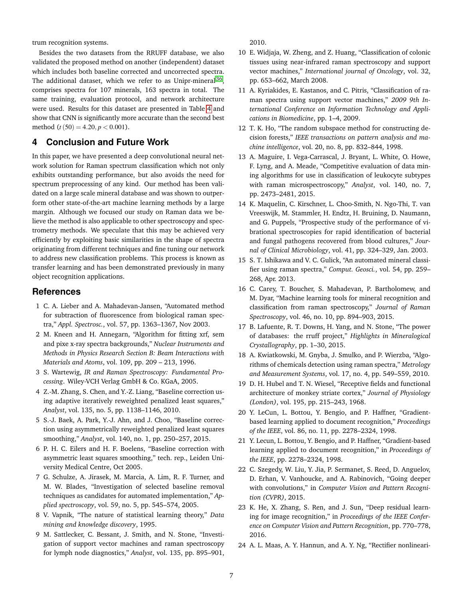<span id="page-7-12"></span>trum recognition systems.

Besides the two datasets from the RRUFF database, we also validated the proposed method on another (independent) dataset which includes both baseline corrected and uncorrected spectra. The additional dataset, which we refer to as Unipr-mineral $^{36}$  $^{36}$  $^{36}$ , comprises spectra for 107 minerals, 163 spectra in total. The same training, evaluation protocol, and network architecture were used. Results for this dataset are presented in Table [4](#page-7-12) and show that CNN is significantly more accurate than the second best method  $(t(50) = 4.20, p < 0.001)$ .

#### **4 Conclusion and Future Work**

<span id="page-7-1"></span><span id="page-7-0"></span>In this paper, we have presented a deep convolutional neural network solution for Raman spectrum classification which not only exhibits outstanding performance, but also avoids the need for spectrum preprocessing of any kind. Our method has been validated on a large scale mineral database and was shown to outperform other state-of-the-art machine learning methods by a large margin. Although we focused our study on Raman data we believe the method is also applicable to other spectroscopy and spectrometry methods. We speculate that this may be achieved very efficiently by exploiting basic similarities in the shape of spectra originating from different techniques and fine tuning our network to address new classification problems. This process is known as transfer learning and has been demonstrated previously in many object recognition applications.

#### <span id="page-7-4"></span><span id="page-7-3"></span><span id="page-7-2"></span>**References**

- <span id="page-7-5"></span>1 C. A. Lieber and A. Mahadevan-Jansen, "Automated method for subtraction of fluorescence from biological raman spectra," *Appl. Spectrosc.*, vol. 57, pp. 1363–1367, Nov 2003.
- 2 M. Kneen and H. Annegarn, "Algorithm for fitting xrf, sem and pixe x-ray spectra backgrounds," *Nuclear Instruments and Methods in Physics Research Section B: Beam Interactions with Materials and Atoms*, vol. 109, pp. 209 – 213, 1996.
- 3 S. Wartewig, *IR and Raman Spectroscopy: Fundamental Processing*. Wiley-VCH Verlag GmbH & Co. KGaA, 2005.
- 4 Z.-M. Zhang, S. Chen, and Y.-Z. Liang, "Baseline correction using adaptive iteratively reweighted penalized least squares," *Analyst*, vol. 135, no. 5, pp. 1138–1146, 2010.
- 5 S.-J. Baek, A. Park, Y.-J. Ahn, and J. Choo, "Baseline correction using asymmetrically reweighted penalized least squares smoothing," *Analyst*, vol. 140, no. 1, pp. 250–257, 2015.
- 6 P. H. C. Eilers and H. F. Boelens, "Baseline correction with asymmetric least squares smoothing," tech. rep., Leiden University Medical Centre, Oct 2005.
- 7 G. Schulze, A. Jirasek, M. Marcia, A. Lim, R. F. Turner, and M. W. Blades, "Investigation of selected baseline removal techniques as candidates for automated implementation," *Applied spectroscopy*, vol. 59, no. 5, pp. 545–574, 2005.
- 8 V. Vapnik, "The nature of statistical learning theory," *Data mining and knowledge discovery*, 1995.
- 9 M. Sattlecker, C. Bessant, J. Smith, and N. Stone, "Investigation of support vector machines and raman spectroscopy for lymph node diagnostics," *Analyst*, vol. 135, pp. 895–901,

2010.

- 10 E. Widjaja, W. Zheng, and Z. Huang, "Classification of colonic tissues using near-infrared raman spectroscopy and support vector machines," *International journal of Oncology*, vol. 32, pp. 653–662, March 2008.
- 11 A. Kyriakides, E. Kastanos, and C. Pitris, "Classification of raman spectra using support vector machines," *2009 9th International Conference on Information Technology and Applications in Biomedicine*, pp. 1–4, 2009.
- 12 T. K. Ho, "The random subspace method for constructing decision forests," *IEEE transactions on pattern analysis and machine intelligence*, vol. 20, no. 8, pp. 832–844, 1998.
- 13 A. Maguire, I. Vega-Carrascal, J. Bryant, L. White, O. Howe, F. Lyng, and A. Meade, "Competitive evaluation of data mining algorithms for use in classification of leukocyte subtypes with raman microspectroscopy," *Analyst*, vol. 140, no. 7, pp. 2473–2481, 2015.
- <span id="page-7-6"></span>14 K. Maquelin, C. Kirschner, L. Choo-Smith, N. Ngo-Thi, T. van Vreeswijk, M. Stammler, H. Endtz, H. Bruining, D. Naumann, and G. Puppels, "Prospective study of the performance of vibrational spectroscopies for rapid identification of bacterial and fungal pathogens recovered from blood cultures," *Journal of Clinical Microbiology*, vol. 41, pp. 324–329, Jan. 2003.
- <span id="page-7-7"></span>15 S. T. Ishikawa and V. C. Gulick, "An automated mineral classifier using raman spectra," *Comput. Geosci.*, vol. 54, pp. 259– 268, Apr. 2013.
- <span id="page-7-8"></span>16 C. Carey, T. Boucher, S. Mahadevan, P. Bartholomew, and M. Dyar, "Machine learning tools for mineral recognition and classification from raman spectroscopy," *Journal of Raman Spectroscopy*, vol. 46, no. 10, pp. 894–903, 2015.
- <span id="page-7-10"></span><span id="page-7-9"></span>17 B. Lafuente, R. T. Downs, H. Yang, and N. Stone, "The power of databases: the rruff project," *Highlights in Mineralogical Crystallography*, pp. 1–30, 2015.
- <span id="page-7-11"></span>18 A. Kwiatkowski, M. Gnyba, J. Smulko, and P. Wierzba, "Algorithms of chemicals detection using raman spectra," *Metrology and Measurement Systems*, vol. 17, no. 4, pp. 549–559, 2010.
- 19 D. H. Hubel and T. N. Wiesel, "Receptive fields and functional architecture of monkey striate cortex," *Journal of Physiology (London)*, vol. 195, pp. 215–243, 1968.
- 20 Y. LeCun, L. Bottou, Y. Bengio, and P. Haffner, "Gradientbased learning applied to document recognition," *Proceedings of the IEEE*, vol. 86, no. 11, pp. 2278–2324, 1998.
- 21 Y. Lecun, L. Bottou, Y. Bengio, and P. Haffner, "Gradient-based learning applied to document recognition," in *Proceedings of the IEEE*, pp. 2278–2324, 1998.
- 22 C. Szegedy, W. Liu, Y. Jia, P. Sermanet, S. Reed, D. Anguelov, D. Erhan, V. Vanhoucke, and A. Rabinovich, "Going deeper with convolutions," in *Computer Vision and Pattern Recognition (CVPR)*, 2015.
- 23 K. He, X. Zhang, S. Ren, and J. Sun, "Deep residual learning for image recognition," in *Proceedings of the IEEE Conference on Computer Vision and Pattern Recognition*, pp. 770–778, 2016.
- 24 A. L. Maas, A. Y. Hannun, and A. Y. Ng, "Rectifier nonlineari-